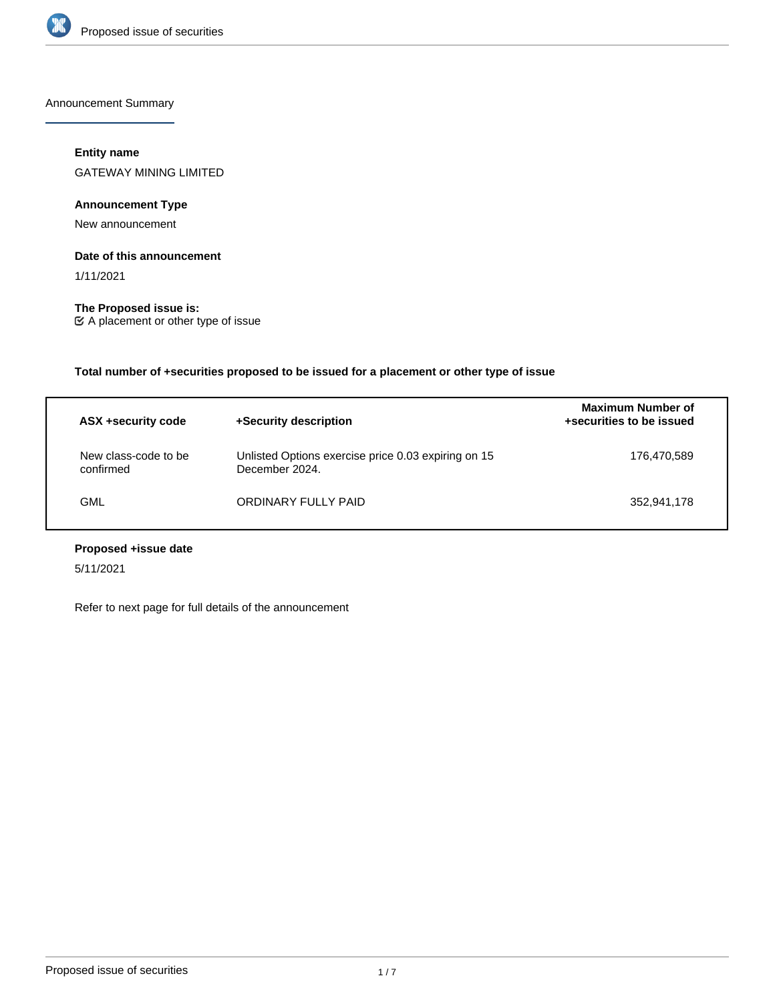

Announcement Summary

## **Entity name**

GATEWAY MINING LIMITED

## **Announcement Type**

New announcement

#### **Date of this announcement**

1/11/2021

**The Proposed issue is:** A placement or other type of issue

**Total number of +securities proposed to be issued for a placement or other type of issue**

| ASX +security code                | +Security description                                                 | <b>Maximum Number of</b><br>+securities to be issued |
|-----------------------------------|-----------------------------------------------------------------------|------------------------------------------------------|
| New class-code to be<br>confirmed | Unlisted Options exercise price 0.03 expiring on 15<br>December 2024. | 176.470.589                                          |
| GML                               | ORDINARY FULLY PAID                                                   | 352,941,178                                          |

# **Proposed +issue date**

5/11/2021

Refer to next page for full details of the announcement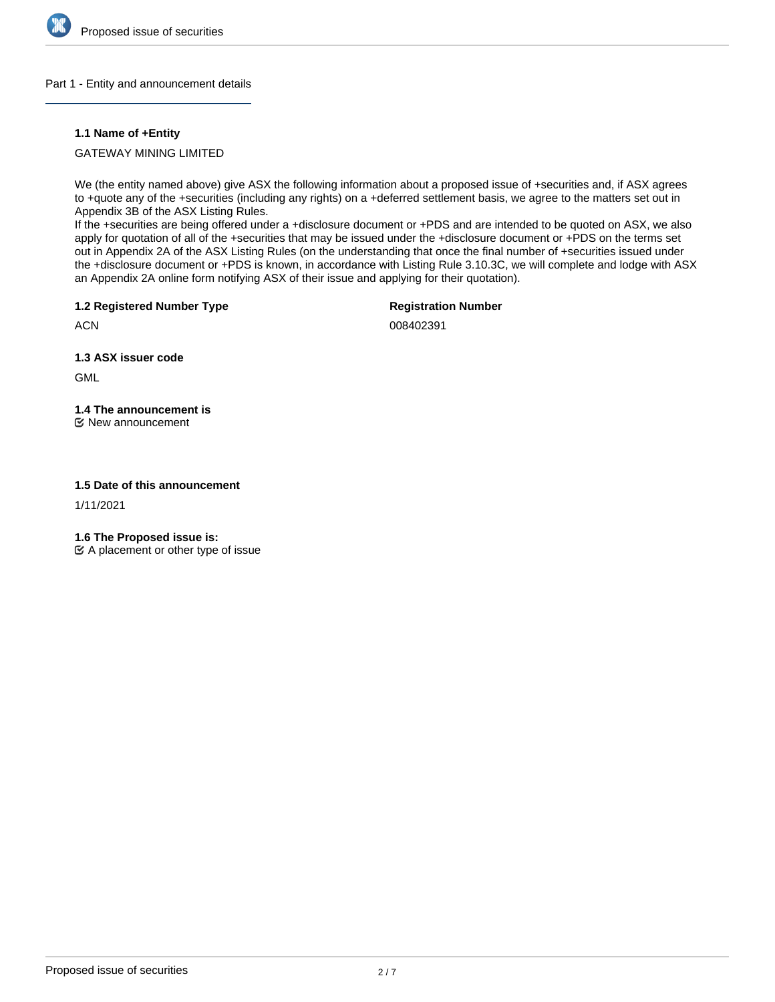

#### Part 1 - Entity and announcement details

### **1.1 Name of +Entity**

GATEWAY MINING LIMITED

We (the entity named above) give ASX the following information about a proposed issue of +securities and, if ASX agrees to +quote any of the +securities (including any rights) on a +deferred settlement basis, we agree to the matters set out in Appendix 3B of the ASX Listing Rules.

If the +securities are being offered under a +disclosure document or +PDS and are intended to be quoted on ASX, we also apply for quotation of all of the +securities that may be issued under the +disclosure document or +PDS on the terms set out in Appendix 2A of the ASX Listing Rules (on the understanding that once the final number of +securities issued under the +disclosure document or +PDS is known, in accordance with Listing Rule 3.10.3C, we will complete and lodge with ASX an Appendix 2A online form notifying ASX of their issue and applying for their quotation).

**1.2 Registered Number Type**

**Registration Number**

**ACN** 

008402391

**1.3 ASX issuer code**

**GML** 

# **1.4 The announcement is**

New announcement

#### **1.5 Date of this announcement**

1/11/2021

**1.6 The Proposed issue is:**

 $\mathfrak{C}$  A placement or other type of issue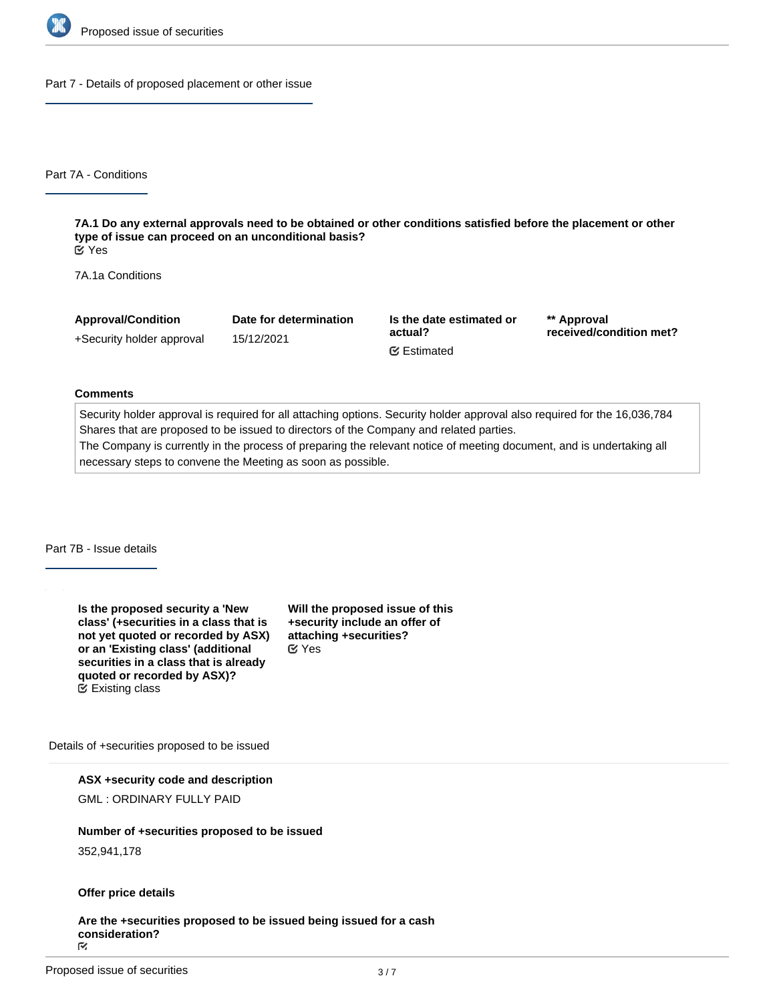

Part 7 - Details of proposed placement or other issue

Part 7A - Conditions

**7A.1 Do any external approvals need to be obtained or other conditions satisfied before the placement or other type of issue can proceed on an unconditional basis?** Yes

7A.1a Conditions

| <b>Approval/Condition</b> | Date for determination | Is the date estimated or | ** Approval<br>received/condition met? |  |
|---------------------------|------------------------|--------------------------|----------------------------------------|--|
| +Security holder approval | 15/12/2021             | actual?                  |                                        |  |
|                           |                        | <b></b> ■ Estimated      |                                        |  |

#### **Comments**

Security holder approval is required for all attaching options. Security holder approval also required for the 16,036,784 Shares that are proposed to be issued to directors of the Company and related parties. The Company is currently in the process of preparing the relevant notice of meeting document, and is undertaking all

necessary steps to convene the Meeting as soon as possible.

Part 7B - Issue details

**Is the proposed security a 'New class' (+securities in a class that is not yet quoted or recorded by ASX) or an 'Existing class' (additional securities in a class that is already quoted or recorded by ASX)?** Existing class

**Will the proposed issue of this +security include an offer of attaching +securities?** Yes

Details of +securities proposed to be issued

**ASX +security code and description**

GML : ORDINARY FULLY PAID

# **Number of +securities proposed to be issued**

352,941,178

#### **Offer price details**

**Are the +securities proposed to be issued being issued for a cash** consideration?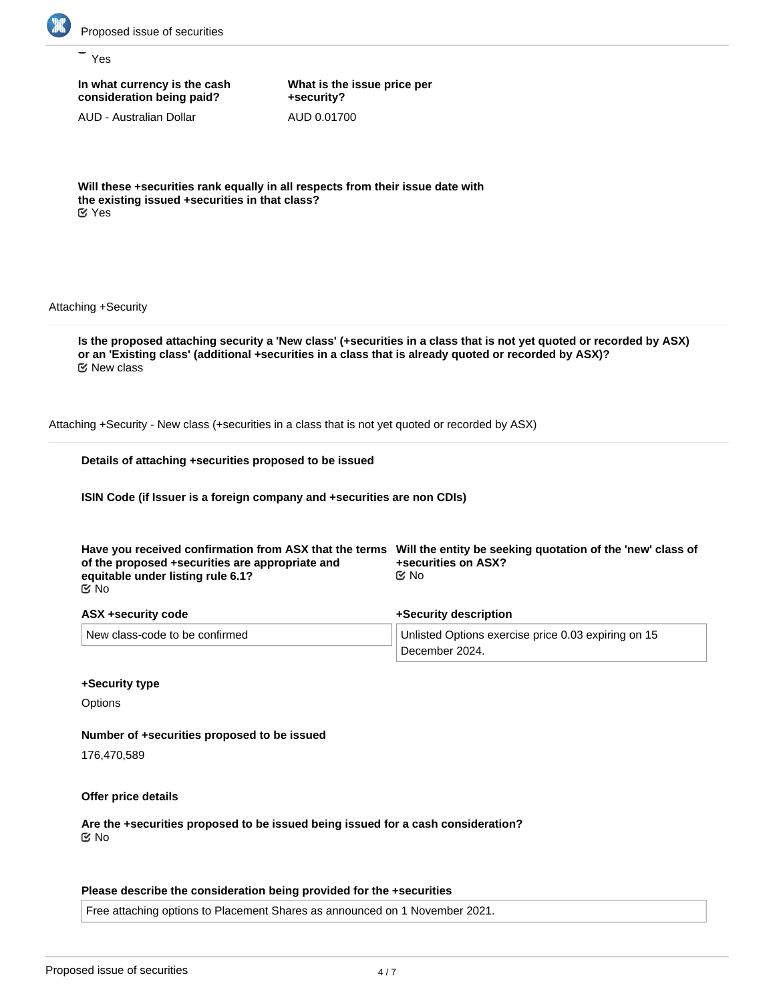

Yes

**In what currency is the cash consideration being paid?**

AUD - Australian Dollar

**What is the issue price per +security?** AUD 0.01700

**Will these +securities rank equally in all respects from their issue date with the existing issued +securities in that class?** Yes

Attaching +Security

**Is the proposed attaching security a 'New class' (+securities in a class that is not yet quoted or recorded by ASX) or an 'Existing class' (additional +securities in a class that is already quoted or recorded by ASX)?** New class

Attaching +Security - New class (+securities in a class that is not yet quoted or recorded by ASX)

|  | Details of attaching +securities proposed to be issued |  |  |
|--|--------------------------------------------------------|--|--|
|  |                                                        |  |  |

**ISIN Code (if Issuer is a foreign company and +securities are non CDIs)**

| of the proposed +securities are appropriate and<br>equitable under listing rule 6.1?<br>ା ⊠ | Have you received confirmation from ASX that the terms Will the entity be seeking quotation of the 'new' class of<br>+securities on ASX?<br>©⁄ No |  |  |
|---------------------------------------------------------------------------------------------|---------------------------------------------------------------------------------------------------------------------------------------------------|--|--|
| ASX +security code                                                                          | +Security description                                                                                                                             |  |  |
| New class-code to be confirmed                                                              | Unlisted Options exercise price 0.03 expiring on 15<br>December 2024.                                                                             |  |  |

#### **+Security type**

**Options** 

#### **Number of +securities proposed to be issued**

176,470,589

**Offer price details**

**Are the +securities proposed to be issued being issued for a cash consideration?** No

#### **Please describe the consideration being provided for the +securities**

Free attaching options to Placement Shares as announced on 1 November 2021.

**Please provide an estimate of the AUD equivalent of the consideration being provided for the +securities**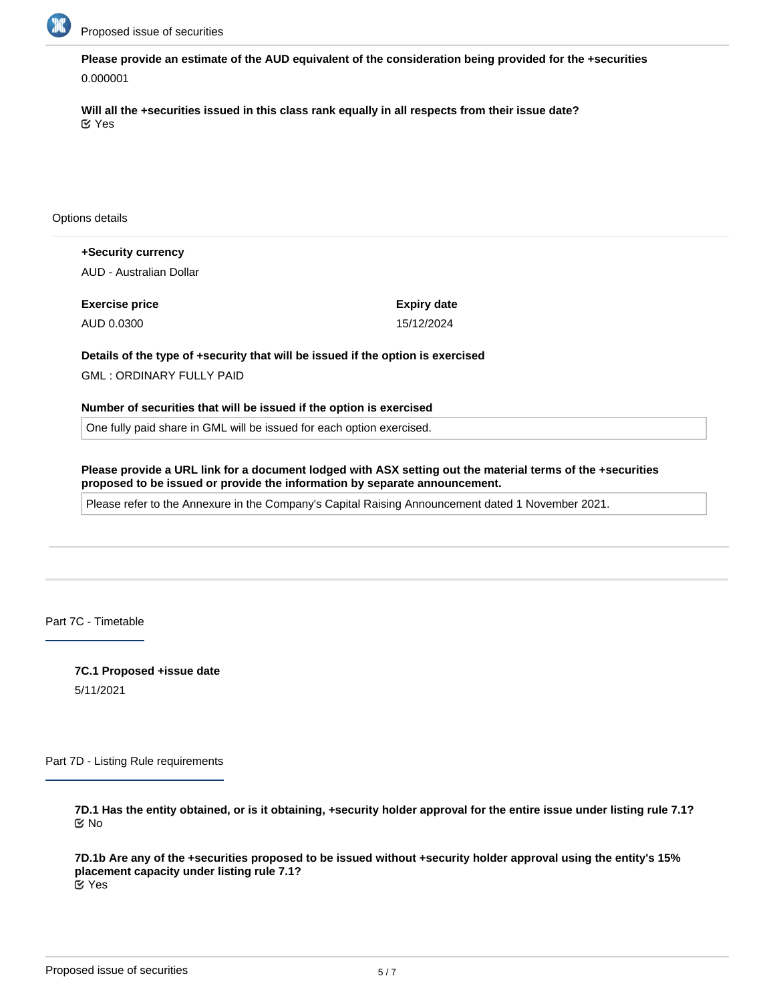

**Please provide an estimate of the AUD equivalent of the consideration being provided for the +securities** 0.000001

**Will all the +securities issued in this class rank equally in all respects from their issue date?** Yes

Options details

**+Security currency** AUD - Australian Dollar

**Exercise price** AUD 0.0300

**Expiry date** 15/12/2024

**Details of the type of +security that will be issued if the option is exercised**

GML : ORDINARY FULLY PAID

**Number of securities that will be issued if the option is exercised**

One fully paid share in GML will be issued for each option exercised.

**Please provide a URL link for a document lodged with ASX setting out the material terms of the +securities proposed to be issued or provide the information by separate announcement.**

Please refer to the Annexure in the Company's Capital Raising Announcement dated 1 November 2021.

Part 7C - Timetable

**7C.1 Proposed +issue date** 5/11/2021

Part 7D - Listing Rule requirements

**7D.1 Has the entity obtained, or is it obtaining, +security holder approval for the entire issue under listing rule 7.1?** No

**7D.1b Are any of the +securities proposed to be issued without +security holder approval using the entity's 15% placement capacity under listing rule 7.1?** Yes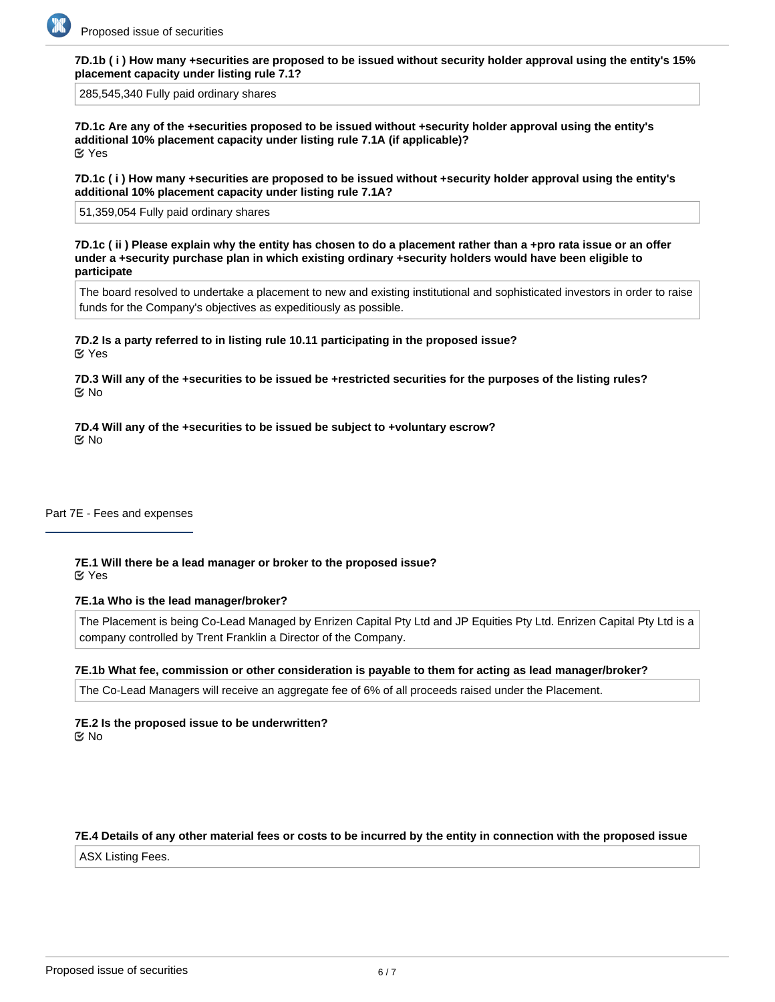

**7D.1b ( i ) How many +securities are proposed to be issued without security holder approval using the entity's 15% placement capacity under listing rule 7.1?**

285,545,340 Fully paid ordinary shares

**7D.1c Are any of the +securities proposed to be issued without +security holder approval using the entity's additional 10% placement capacity under listing rule 7.1A (if applicable)?** Yes

**7D.1c ( i ) How many +securities are proposed to be issued without +security holder approval using the entity's additional 10% placement capacity under listing rule 7.1A?**

51,359,054 Fully paid ordinary shares

**7D.1c ( ii ) Please explain why the entity has chosen to do a placement rather than a +pro rata issue or an offer under a +security purchase plan in which existing ordinary +security holders would have been eligible to participate**

The board resolved to undertake a placement to new and existing institutional and sophisticated investors in order to raise funds for the Company's objectives as expeditiously as possible.

**7D.2 Is a party referred to in listing rule 10.11 participating in the proposed issue?** Yes

**7D.3 Will any of the +securities to be issued be +restricted securities for the purposes of the listing rules?** No

**7D.4 Will any of the +securities to be issued be subject to +voluntary escrow?** No

Part 7E - Fees and expenses

**7E.1 Will there be a lead manager or broker to the proposed issue?** Yes

#### **7E.1a Who is the lead manager/broker?**

The Placement is being Co-Lead Managed by Enrizen Capital Pty Ltd and JP Equities Pty Ltd. Enrizen Capital Pty Ltd is a company controlled by Trent Franklin a Director of the Company.

#### **7E.1b What fee, commission or other consideration is payable to them for acting as lead manager/broker?**

The Co-Lead Managers will receive an aggregate fee of 6% of all proceeds raised under the Placement.

**7E.2 Is the proposed issue to be underwritten?** No

#### **7E.4 Details of any other material fees or costs to be incurred by the entity in connection with the proposed issue**

ASX Listing Fees.